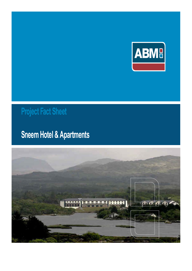

# **Project Fact Sheet**

## **Sneem Hotel & Apartments**

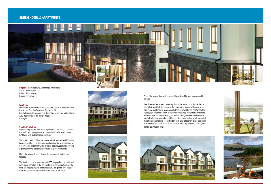**Project:** Sneem Hotel and Apartment Development **Value:** €19,950,000 **Client:** Louis Moriarty **Stage:** Completed

#### **FACTFILE**

Design and Build including full fit-out of a 69-bedroom Hotel with a Bar, Restaurant, Function Room and Gym and a 28 Self-Catering Holiday apartments. In addition to a design and build role, ABM also undertook the role of Project Managers.

#### **SCOPE OF WORKS**

In this turnkey project, abm were responsible for the design, construction and project management of the construction of a new four-star 5,700sqm hotel and apartment complex.

The hotel consists of 69 no. bedrooms, all with ensuites and 28 no. two bedroom and two three-bedroom apartments in the scenic location of Sneem on the ring of Kerry. The complex also includes function rooms, a gymnasium with saunas and hot tubs, bars and restaurants.

Half of the rooms offer sea views with premium suites also having terraces.

The function room can accommodate 300 no. people comfortably and is equipped with state-of-the-art event and conferencing facilities. The hotel has a sauna, hot tub and gymnasium. The ground floor incorporates a large bar and a restaurant which seats 70 no. diners.





### **SNEEM HOTEL & APARTMENTS**



Four of the ground floor bedrooms are fully equipped for use by persons with physical

disabilities and each has a connecting door to the next room. ABM installed a wheelchair suitable lift for access to the leisure area, sauna, hot tub and gymnasium. All facilities have been inspected and approved by the Irish Wheelchair Association. The hotel section of the development was completed in 17 months and to achieve this fast-track programme the building structure was manufactured off-site using an insulated light gauge steel frame system which eliminated more traditional methods of construction such as in-situ concrete and blockwork. This allowed the on-site works to the structure, including windows and roof, to be completed in record time.